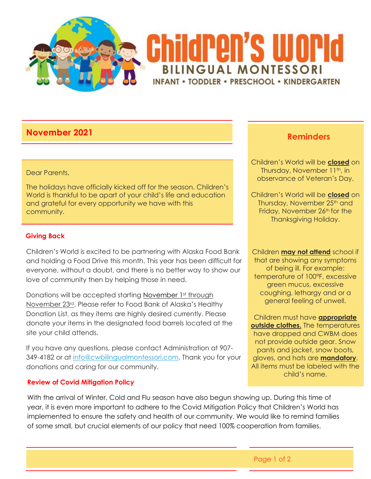

# **November <sup>2021</sup> Reminders**

#### Dear Parents,

The holidays have officially kicked off for the season. Children's World is thankful to be apart of your child's life and education and grateful for every opportunity we have with this community.

# **Giving Back**

Children's World is excited to be partnering with Alaska Food Bank and holding a Food Drive this month. This year has been difficult for everyone, without a doubt, and there is no better way to show our love of community then by helping those in need.

Donations will be accepted starting November 1st through November 23rd. Please refer to Food Bank of Alaska's Healthy Donation List, as they items are highly desired currently. Please donate your items in the designated food barrels located at the site your child attends.

If you have any questions, please contact Administration at 907- 349-4182 or at [info@cwbilingualmontessori.com.](mailto:info@cwbilingualmontessori.com) Thank you for your donations and caring for our community.

# **Review of Covid Mitigation Policy**

With the arrival of Winter, Cold and Flu season have also begun showing up. During this time of year, it is even more important to adhere to the Covid Mitigation Policy that Children's World has implemented to ensure the safety and health of our community. We would like to remind families of some small, but crucial elements of our policy that need 100% cooperation from families.

Children's World will be **closed** on Thursday, November 11th, in observance of Veteran's Day.

Children's World will be **closed** on Thursday, November 25<sup>th</sup> and Friday, November 26<sup>th</sup> for the Thanksgiving Holiday.

Children **may not attend** school if that are showing any symptoms of being ill. For example: temperature of 100°F, excessive green mucus, excessive coughing, lethargy and or a general feeling of unwell.

Children must have **appropriate outside clothes.** The temperatures have dropped and CWBM does not provide outside gear. Snow pants and jacket, snow boots, gloves, and hats are **mandatory**. All items must be labeled with the child's name.